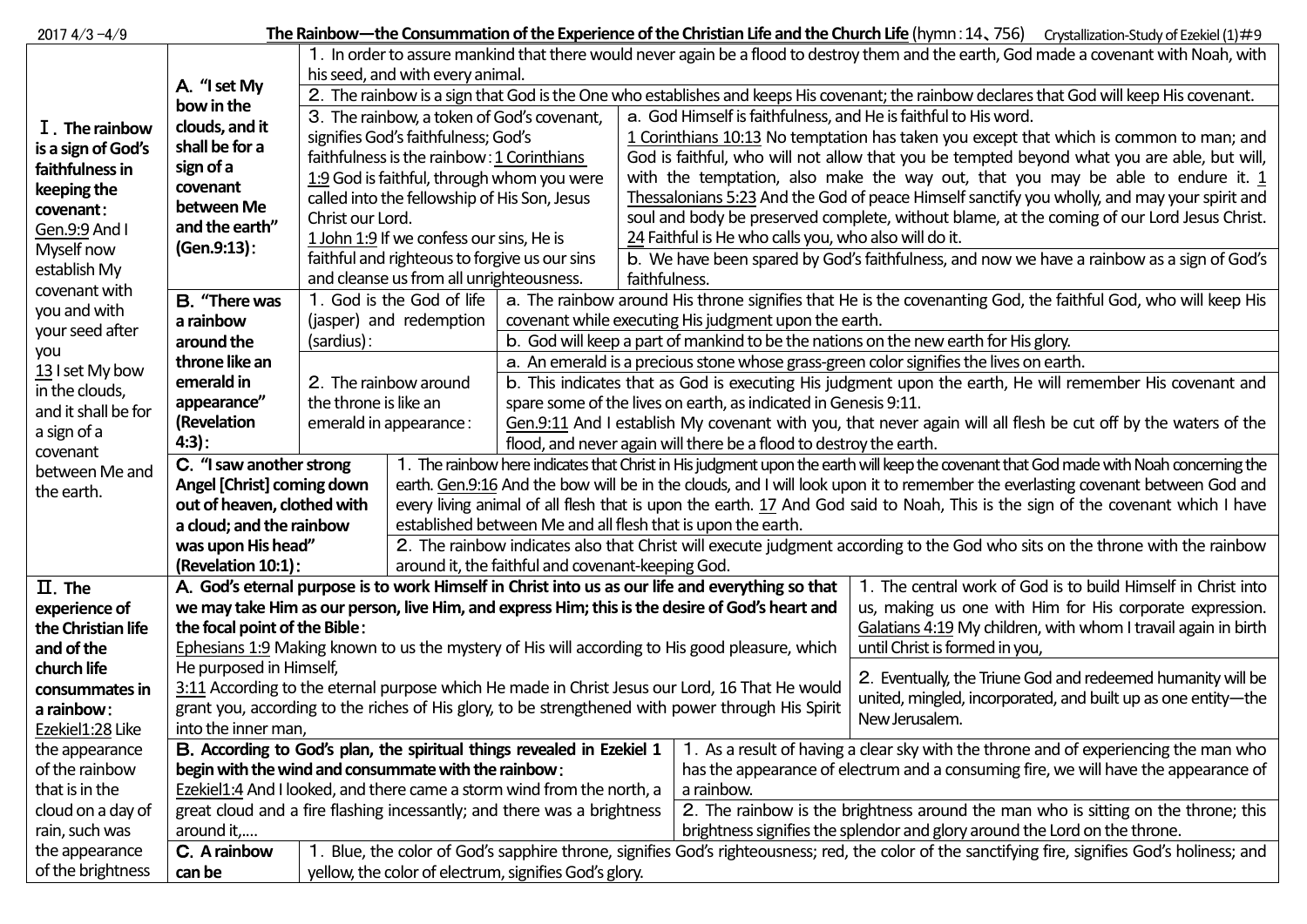| $20174/3 - 4/9$                                                                                                             | The Rainbow—the Consummation of the Experience of the Christian Life and the Church Life (hymn: 14, 756) Crystallization-Study of Ezekiel (1)#9                   |                                                                                                                                                                                                                                     |                                                                                                                                 |                                                                                                                                        |                                                                                                                |                                                                                                           |                                                          |  |  |  |  |
|-----------------------------------------------------------------------------------------------------------------------------|-------------------------------------------------------------------------------------------------------------------------------------------------------------------|-------------------------------------------------------------------------------------------------------------------------------------------------------------------------------------------------------------------------------------|---------------------------------------------------------------------------------------------------------------------------------|----------------------------------------------------------------------------------------------------------------------------------------|----------------------------------------------------------------------------------------------------------------|-----------------------------------------------------------------------------------------------------------|----------------------------------------------------------|--|--|--|--|
|                                                                                                                             | 1. In order to assure mankind that there would never again be a flood to destroy them and the earth, God made a covenant with Noah, with                          |                                                                                                                                                                                                                                     |                                                                                                                                 |                                                                                                                                        |                                                                                                                |                                                                                                           |                                                          |  |  |  |  |
|                                                                                                                             |                                                                                                                                                                   | his seed, and with every animal.                                                                                                                                                                                                    |                                                                                                                                 |                                                                                                                                        |                                                                                                                |                                                                                                           |                                                          |  |  |  |  |
|                                                                                                                             | A. "I set My<br>bow in the                                                                                                                                        | 2. The rainbow is a sign that God is the One who establishes and keeps His covenant; the rainbow declares that God will keep His covenant.                                                                                          |                                                                                                                                 |                                                                                                                                        |                                                                                                                |                                                                                                           |                                                          |  |  |  |  |
|                                                                                                                             |                                                                                                                                                                   | 3. The rainbow, a token of God's covenant,                                                                                                                                                                                          |                                                                                                                                 |                                                                                                                                        |                                                                                                                | a. God Himself is faithfulness, and He is faithful to His word.                                           |                                                          |  |  |  |  |
| I. The rainbow                                                                                                              | clouds, and it                                                                                                                                                    | signifies God's faithfulness; God's                                                                                                                                                                                                 |                                                                                                                                 |                                                                                                                                        |                                                                                                                | 1 Corinthians 10:13 No temptation has taken you except that which is common to man; and                   |                                                          |  |  |  |  |
| is a sign of God's                                                                                                          | shall be for a<br>sign of a<br>covenant<br>between Me<br>and the earth"<br>(Gen.9:13)                                                                             | faithfulness is the rainbow: 1 Corinthians                                                                                                                                                                                          |                                                                                                                                 |                                                                                                                                        |                                                                                                                | God is faithful, who will not allow that you be tempted beyond what you are able, but will,               |                                                          |  |  |  |  |
| faithfulness in<br>keeping the<br>covenant:<br>Gen.9:9 And I<br>Myself now<br>establish My<br>covenant with<br>you and with |                                                                                                                                                                   | 1:9 God is faithful, through whom you were                                                                                                                                                                                          |                                                                                                                                 |                                                                                                                                        |                                                                                                                | with the temptation, also make the way out, that you may be able to endure it. $1/2$                      |                                                          |  |  |  |  |
|                                                                                                                             |                                                                                                                                                                   | called into the fellowship of His Son, Jesus                                                                                                                                                                                        |                                                                                                                                 |                                                                                                                                        |                                                                                                                | Thessalonians 5:23 And the God of peace Himself sanctify you wholly, and may your spirit and              |                                                          |  |  |  |  |
|                                                                                                                             |                                                                                                                                                                   | Christ our Lord.                                                                                                                                                                                                                    |                                                                                                                                 |                                                                                                                                        |                                                                                                                | soul and body be preserved complete, without blame, at the coming of our Lord Jesus Christ.               |                                                          |  |  |  |  |
|                                                                                                                             |                                                                                                                                                                   | 1 John 1:9 If we confess our sins, He is                                                                                                                                                                                            |                                                                                                                                 |                                                                                                                                        | 24 Faithful is He who calls you, who also will do it.                                                          |                                                                                                           |                                                          |  |  |  |  |
|                                                                                                                             |                                                                                                                                                                   | faithful and righteous to forgive us our sins                                                                                                                                                                                       |                                                                                                                                 |                                                                                                                                        | b. We have been spared by God's faithfulness, and now we have a rainbow as a sign of God's                     |                                                                                                           |                                                          |  |  |  |  |
|                                                                                                                             |                                                                                                                                                                   | and cleanse us from all unrighteousness.                                                                                                                                                                                            |                                                                                                                                 |                                                                                                                                        | faithfulness.                                                                                                  |                                                                                                           |                                                          |  |  |  |  |
|                                                                                                                             | <b>B.</b> "There was                                                                                                                                              |                                                                                                                                                                                                                                     | 1. God is the God of life                                                                                                       | a. The rainbow around His throne signifies that He is the covenanting God, the faithful God, who will keep His                         |                                                                                                                |                                                                                                           |                                                          |  |  |  |  |
|                                                                                                                             | a rainbow                                                                                                                                                         |                                                                                                                                                                                                                                     | (jasper) and redemption                                                                                                         | covenant while executing His judgment upon the earth.                                                                                  |                                                                                                                |                                                                                                           |                                                          |  |  |  |  |
| your seed after<br>you                                                                                                      | around the                                                                                                                                                        | (sardius):                                                                                                                                                                                                                          |                                                                                                                                 | b. God will keep a part of mankind to be the nations on the new earth for His glory.                                                   |                                                                                                                |                                                                                                           |                                                          |  |  |  |  |
| $13$ I set My bow                                                                                                           | throne like an                                                                                                                                                    |                                                                                                                                                                                                                                     |                                                                                                                                 | a. An emerald is a precious stone whose grass-green color signifies the lives on earth.                                                |                                                                                                                |                                                                                                           |                                                          |  |  |  |  |
| in the clouds,                                                                                                              | emerald in                                                                                                                                                        |                                                                                                                                                                                                                                     | 2. The rainbow around                                                                                                           |                                                                                                                                        |                                                                                                                | b. This indicates that as God is executing His judgment upon the earth, He will remember His covenant and |                                                          |  |  |  |  |
| and it shall be for                                                                                                         | appearance"                                                                                                                                                       | the throne is like an                                                                                                                                                                                                               | emerald in appearance:                                                                                                          |                                                                                                                                        | spare some of the lives on earth, as indicated in Genesis 9:11.                                                |                                                                                                           |                                                          |  |  |  |  |
| a sign of a                                                                                                                 | (Revelation                                                                                                                                                       |                                                                                                                                                                                                                                     |                                                                                                                                 |                                                                                                                                        | Gen.9:11 And I establish My covenant with you, that never again will all flesh be cut off by the waters of the |                                                                                                           |                                                          |  |  |  |  |
| covenant                                                                                                                    | $4:3$ :                                                                                                                                                           |                                                                                                                                                                                                                                     | flood, and never again will there be a flood to destroy the earth.                                                              |                                                                                                                                        |                                                                                                                |                                                                                                           |                                                          |  |  |  |  |
| between Me and                                                                                                              | C. "I saw another strong                                                                                                                                          |                                                                                                                                                                                                                                     |                                                                                                                                 | 1. The rainbow here indicates that Christ in His judgment upon the earth will keep the covenant that God made with Noah concerning the |                                                                                                                |                                                                                                           |                                                          |  |  |  |  |
| the earth.                                                                                                                  | Angel [Christ] coming down                                                                                                                                        |                                                                                                                                                                                                                                     | earth. Gen.9:16 And the bow will be in the clouds, and I will look upon it to remember the everlasting covenant between God and |                                                                                                                                        |                                                                                                                |                                                                                                           |                                                          |  |  |  |  |
|                                                                                                                             | out of heaven, clothed with                                                                                                                                       |                                                                                                                                                                                                                                     | every living animal of all flesh that is upon the earth. 17 And God said to Noah, This is the sign of the covenant which I have |                                                                                                                                        |                                                                                                                |                                                                                                           |                                                          |  |  |  |  |
|                                                                                                                             | a cloud; and the rainbow                                                                                                                                          |                                                                                                                                                                                                                                     |                                                                                                                                 | established between Me and all flesh that is upon the earth.                                                                           |                                                                                                                |                                                                                                           |                                                          |  |  |  |  |
|                                                                                                                             | was upon His head"                                                                                                                                                |                                                                                                                                                                                                                                     | 2. The rainbow indicates also that Christ will execute judgment according to the God who sits on the throne with the rainbow    |                                                                                                                                        |                                                                                                                |                                                                                                           |                                                          |  |  |  |  |
|                                                                                                                             | (Revelation 10:1):                                                                                                                                                |                                                                                                                                                                                                                                     | around it, the faithful and covenant-keeping God.                                                                               |                                                                                                                                        |                                                                                                                |                                                                                                           |                                                          |  |  |  |  |
| $\Pi$ . The                                                                                                                 |                                                                                                                                                                   | A. God's eternal purpose is to work Himself in Christ into us as our life and everything so that<br>1. The central work of God is to build Himself in Christ into                                                                   |                                                                                                                                 |                                                                                                                                        |                                                                                                                |                                                                                                           |                                                          |  |  |  |  |
| experience of                                                                                                               |                                                                                                                                                                   |                                                                                                                                                                                                                                     |                                                                                                                                 |                                                                                                                                        |                                                                                                                | we may take Him as our person, live Him, and express Him; this is the desire of God's heart and           | us, making us one with Him for His corporate expression. |  |  |  |  |
| the Christian life                                                                                                          |                                                                                                                                                                   | the focal point of the Bible:<br>Galatians 4:19 My children, with whom I travail again in birth                                                                                                                                     |                                                                                                                                 |                                                                                                                                        |                                                                                                                |                                                                                                           |                                                          |  |  |  |  |
| and of the                                                                                                                  | Ephesians 1:9 Making known to us the mystery of His will according to His good pleasure, which<br>until Christ is formed in you,                                  |                                                                                                                                                                                                                                     |                                                                                                                                 |                                                                                                                                        |                                                                                                                |                                                                                                           |                                                          |  |  |  |  |
| church life                                                                                                                 | He purposed in Himself,<br>2. Eventually, the Triune God and redeemed humanity will be                                                                            |                                                                                                                                                                                                                                     |                                                                                                                                 |                                                                                                                                        |                                                                                                                |                                                                                                           |                                                          |  |  |  |  |
| consummates in                                                                                                              | 3:11 According to the eternal purpose which He made in Christ Jesus our Lord, 16 That He would<br>united, mingled, incorporated, and built up as one entity-the   |                                                                                                                                                                                                                                     |                                                                                                                                 |                                                                                                                                        |                                                                                                                |                                                                                                           |                                                          |  |  |  |  |
| a rainbow:                                                                                                                  | grant you, according to the riches of His glory, to be strengthened with power through His Spirit<br>New Jerusalem.                                               |                                                                                                                                                                                                                                     |                                                                                                                                 |                                                                                                                                        |                                                                                                                |                                                                                                           |                                                          |  |  |  |  |
| Ezekiel1:28 Like                                                                                                            | into the inner man,                                                                                                                                               |                                                                                                                                                                                                                                     |                                                                                                                                 |                                                                                                                                        |                                                                                                                |                                                                                                           |                                                          |  |  |  |  |
| the appearance<br>of the rainbow                                                                                            |                                                                                                                                                                   | 1. As a result of having a clear sky with the throne and of experiencing the man who<br>B. According to God's plan, the spiritual things revealed in Ezekiel 1                                                                      |                                                                                                                                 |                                                                                                                                        |                                                                                                                |                                                                                                           |                                                          |  |  |  |  |
| that is in the                                                                                                              |                                                                                                                                                                   | has the appearance of electrum and a consuming fire, we will have the appearance of<br>begin with the wind and consummate with the rainbow:<br>Ezekiel1:4 And I looked, and there came a storm wind from the north, a<br>a rainbow. |                                                                                                                                 |                                                                                                                                        |                                                                                                                |                                                                                                           |                                                          |  |  |  |  |
| cloud on a day of                                                                                                           |                                                                                                                                                                   | great cloud and a fire flashing incessantly; and there was a brightness<br>2. The rainbow is the brightness around the man who is sitting on the throne; this                                                                       |                                                                                                                                 |                                                                                                                                        |                                                                                                                |                                                                                                           |                                                          |  |  |  |  |
| rain, such was                                                                                                              |                                                                                                                                                                   | around it,<br>brightness signifies the splendor and glory around the Lord on the throne.                                                                                                                                            |                                                                                                                                 |                                                                                                                                        |                                                                                                                |                                                                                                           |                                                          |  |  |  |  |
| the appearance                                                                                                              | C. A rainbow<br>1. Blue, the color of God's sapphire throne, signifies God's righteousness; red, the color of the sanctifying fire, signifies God's holiness; and |                                                                                                                                                                                                                                     |                                                                                                                                 |                                                                                                                                        |                                                                                                                |                                                                                                           |                                                          |  |  |  |  |
| of the brightness                                                                                                           | yellow, the color of electrum, signifies God's glory.<br>can be                                                                                                   |                                                                                                                                                                                                                                     |                                                                                                                                 |                                                                                                                                        |                                                                                                                |                                                                                                           |                                                          |  |  |  |  |
|                                                                                                                             |                                                                                                                                                                   |                                                                                                                                                                                                                                     |                                                                                                                                 |                                                                                                                                        |                                                                                                                |                                                                                                           |                                                          |  |  |  |  |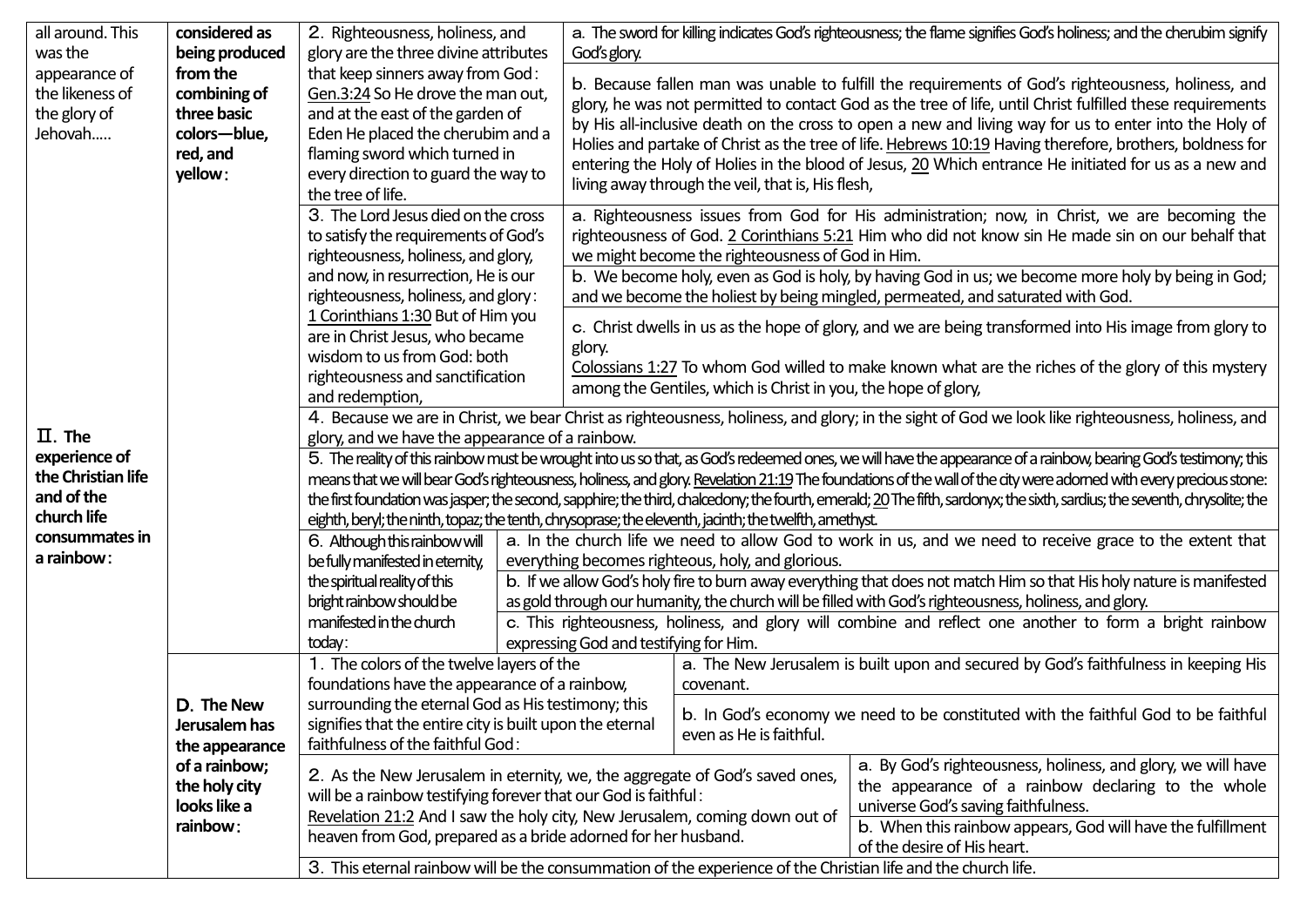| all around. This             | considered as  | 2. Righteousness, holiness, and                                                                                                                                                                     |                                                   |                                                                                                                                                                             | a. The sword for killing indicates God's righteousness; the flame signifies God's holiness; and the cherubim signify |  |  |  |
|------------------------------|----------------|-----------------------------------------------------------------------------------------------------------------------------------------------------------------------------------------------------|---------------------------------------------------|-----------------------------------------------------------------------------------------------------------------------------------------------------------------------------|----------------------------------------------------------------------------------------------------------------------|--|--|--|
| was the                      | being produced | glory are the three divine attributes                                                                                                                                                               | God's glory.                                      |                                                                                                                                                                             |                                                                                                                      |  |  |  |
| appearance of                | from the       | that keep sinners away from God:                                                                                                                                                                    |                                                   | b. Because fallen man was unable to fulfill the requirements of God's righteousness, holiness, and                                                                          |                                                                                                                      |  |  |  |
| the likeness of              | combining of   | Gen.3:24 So He drove the man out,                                                                                                                                                                   |                                                   |                                                                                                                                                                             | glory, he was not permitted to contact God as the tree of life, until Christ fulfilled these requirements            |  |  |  |
| the glory of                 | three basic    | and at the east of the garden of                                                                                                                                                                    |                                                   |                                                                                                                                                                             | by His all-inclusive death on the cross to open a new and living way for us to enter into the Holy of                |  |  |  |
| Jehovah                      | colors-blue,   | Eden He placed the cherubim and a                                                                                                                                                                   |                                                   | Holies and partake of Christ as the tree of life. Hebrews 10:19 Having therefore, brothers, boldness for                                                                    |                                                                                                                      |  |  |  |
|                              | red, and       | flaming sword which turned in                                                                                                                                                                       |                                                   |                                                                                                                                                                             | entering the Holy of Holies in the blood of Jesus, 20 Which entrance He initiated for us as a new and                |  |  |  |
|                              | yellow:        | every direction to guard the way to                                                                                                                                                                 |                                                   | living away through the veil, that is, His flesh,                                                                                                                           |                                                                                                                      |  |  |  |
|                              |                | the tree of life.                                                                                                                                                                                   |                                                   |                                                                                                                                                                             |                                                                                                                      |  |  |  |
|                              |                | 3. The Lord Jesus died on the cross                                                                                                                                                                 |                                                   | a. Righteousness issues from God for His administration; now, in Christ, we are becoming the                                                                                |                                                                                                                      |  |  |  |
|                              |                | to satisfy the requirements of God's                                                                                                                                                                |                                                   | righteousness of God. 2 Corinthians 5:21 Him who did not know sin He made sin on our behalf that                                                                            |                                                                                                                      |  |  |  |
|                              |                | righteousness, holiness, and glory,                                                                                                                                                                 |                                                   | we might become the righteousness of God in Him.                                                                                                                            |                                                                                                                      |  |  |  |
|                              |                | and now, in resurrection, He is our                                                                                                                                                                 |                                                   | b. We become holy, even as God is holy, by having God in us; we become more holy by being in God;                                                                           |                                                                                                                      |  |  |  |
|                              |                | righteousness, holiness, and glory:                                                                                                                                                                 |                                                   | and we become the holiest by being mingled, permeated, and saturated with God.                                                                                              |                                                                                                                      |  |  |  |
|                              |                | 1 Corinthians 1:30 But of Him you                                                                                                                                                                   |                                                   | c. Christ dwells in us as the hope of glory, and we are being transformed into His image from glory to                                                                      |                                                                                                                      |  |  |  |
|                              |                | are in Christ Jesus, who became                                                                                                                                                                     | glory.                                            |                                                                                                                                                                             |                                                                                                                      |  |  |  |
|                              |                | wisdom to us from God: both                                                                                                                                                                         |                                                   | Colossians 1:27 To whom God willed to make known what are the riches of the glory of this mystery                                                                           |                                                                                                                      |  |  |  |
|                              |                | righteousness and sanctification                                                                                                                                                                    |                                                   | among the Gentiles, which is Christ in you, the hope of glory,                                                                                                              |                                                                                                                      |  |  |  |
| $\Pi$ . The                  |                | and redemption,                                                                                                                                                                                     |                                                   |                                                                                                                                                                             |                                                                                                                      |  |  |  |
|                              |                | 4. Because we are in Christ, we bear Christ as righteousness, holiness, and glory; in the sight of God we look like righteousness, holiness, and<br>glory, and we have the appearance of a rainbow. |                                                   |                                                                                                                                                                             |                                                                                                                      |  |  |  |
| experience of                |                | 5. The reality of this rainbow must be wrought into us so that, as God's redeemed ones, we will have the appearance of a rainbow, bearing God's testimony; this                                     |                                                   |                                                                                                                                                                             |                                                                                                                      |  |  |  |
| the Christian life           |                |                                                                                                                                                                                                     |                                                   | means that we will bear God's righteousness, holiness, and glory. Revelation 21:19 The foundations of the wall of the city were adomed with every precious stone:           |                                                                                                                      |  |  |  |
| and of the                   |                |                                                                                                                                                                                                     |                                                   | the first foundation was jasper; the second, sapphire; the third, chalcedony; the fourth, emerald; 20 The fifth, sardonyx; the sixth, sardius; the seventh, chrysolite; the |                                                                                                                      |  |  |  |
| church life                  |                |                                                                                                                                                                                                     |                                                   | eighth, beryl; the ninth, topaz; the tenth, chrysoprase; the eleventh, jacinth; the twelfth, amethyst.                                                                      |                                                                                                                      |  |  |  |
| consummates in<br>a rainbow: |                | 6. Although this rainbow will                                                                                                                                                                       |                                                   | a. In the church life we need to allow God to work in us, and we need to receive grace to the extent that                                                                   |                                                                                                                      |  |  |  |
|                              |                | be fully manifested in eternity,                                                                                                                                                                    | everything becomes righteous, holy, and glorious. |                                                                                                                                                                             |                                                                                                                      |  |  |  |
|                              |                | the spiritual reality of this                                                                                                                                                                       |                                                   | b. If we allow God's holy fire to burn away everything that does not match Him so that His holy nature is manifested                                                        |                                                                                                                      |  |  |  |
|                              |                | bright rainbow should be                                                                                                                                                                            |                                                   | as gold through our humanity, the church will be filled with God's righteousness, holiness, and glory.                                                                      |                                                                                                                      |  |  |  |
|                              |                | manifested in the church                                                                                                                                                                            |                                                   | c. This righteousness, holiness, and glory will combine and reflect one another to form a bright rainbow                                                                    |                                                                                                                      |  |  |  |
|                              |                | today:                                                                                                                                                                                              |                                                   | expressing God and testifying for Him.                                                                                                                                      |                                                                                                                      |  |  |  |
|                              |                | 1. The colors of the twelve layers of the                                                                                                                                                           |                                                   |                                                                                                                                                                             | a. The New Jerusalem is built upon and secured by God's faithfulness in keeping His                                  |  |  |  |
|                              |                | foundations have the appearance of a rainbow,                                                                                                                                                       |                                                   | covenant.                                                                                                                                                                   |                                                                                                                      |  |  |  |
|                              | D. The New     | surrounding the eternal God as His testimony; this                                                                                                                                                  |                                                   | b. In God's economy we need to be constituted with the faithful God to be faithful                                                                                          |                                                                                                                      |  |  |  |
|                              | Jerusalem has  | signifies that the entire city is built upon the eternal                                                                                                                                            |                                                   | even as He is faithful.                                                                                                                                                     |                                                                                                                      |  |  |  |
|                              | the appearance | faithfulness of the faithful God:                                                                                                                                                                   |                                                   |                                                                                                                                                                             |                                                                                                                      |  |  |  |
|                              | of a rainbow;  | 2. As the New Jerusalem in eternity, we, the aggregate of God's saved ones,                                                                                                                         |                                                   |                                                                                                                                                                             | a. By God's righteousness, holiness, and glory, we will have                                                         |  |  |  |
|                              | the holy city  | will be a rainbow testifying forever that our God is faithful:                                                                                                                                      |                                                   |                                                                                                                                                                             | the appearance of a rainbow declaring to the whole                                                                   |  |  |  |
|                              | looks like a   | Revelation 21:2 And I saw the holy city, New Jerusalem, coming down out of                                                                                                                          |                                                   |                                                                                                                                                                             | universe God's saving faithfulness.                                                                                  |  |  |  |
|                              | rainbow:       | heaven from God, prepared as a bride adorned for her husband.                                                                                                                                       |                                                   |                                                                                                                                                                             | b. When this rainbow appears, God will have the fulfillment                                                          |  |  |  |
|                              |                |                                                                                                                                                                                                     |                                                   |                                                                                                                                                                             | of the desire of His heart.                                                                                          |  |  |  |
|                              |                | 3. This eternal rainbow will be the consummation of the experience of the Christian life and the church life.                                                                                       |                                                   |                                                                                                                                                                             |                                                                                                                      |  |  |  |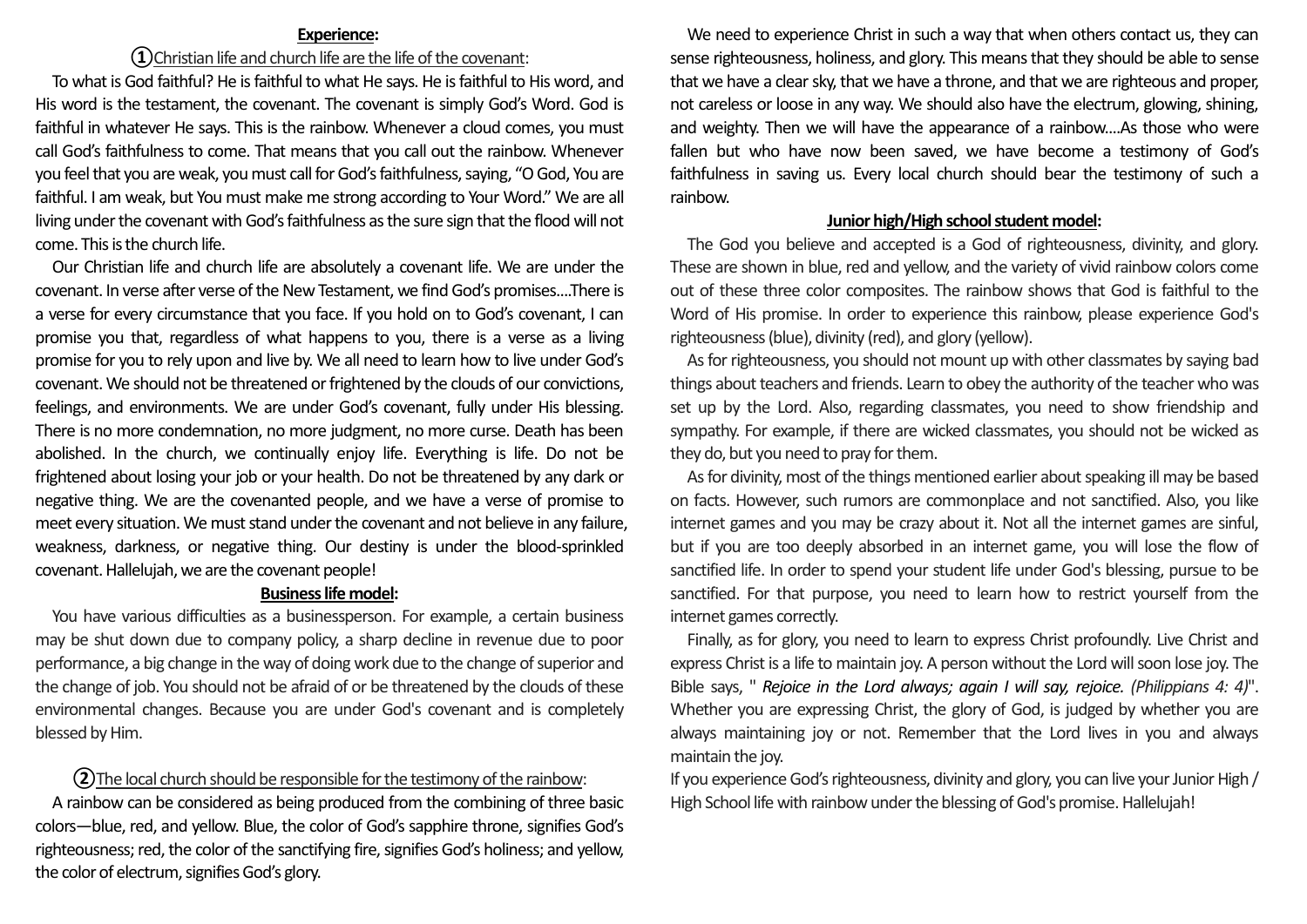### **Experience:**

### **①**Christian life and church life are the life of the covenant:

To what is God faithful? He is faithful to what He says. He is faithful to His word, and His word is the testament, the covenant. The covenant is simply God's Word. God is faithful in whatever He says. This is the rainbow. Whenever a cloud comes, you must call God's faithfulness to come. That means that you call out the rainbow. Whenever you feel that you are weak, you must call for God's faithfulness, saying, "O God, You are faithful. I am weak, but You must make me strong according to Your Word." We are all living under the covenant with God's faithfulness as the sure sign that the flood will not come. This is the church life.

Our Christian life and church life are absolutely a covenant life. We are under the covenant. In verse after verse of the New Testament, we find God's promises....There is a verse for every circumstance that you face. If you hold on to God's covenant, I can promise you that, regardless of what happens to you, there is a verse as a living promise for you to rely upon and live by. We all need to learn how to live under God's covenant. We should not be threatened or frightened by the clouds of our convictions, feelings, and environments. We are under God's covenant, fully under His blessing. There is no more condemnation, no more judgment, no more curse. Death has been abolished. In the church, we continually enjoy life. Everything is life. Do not be frightened about losing your job or your health. Do not be threatened by any dark or negative thing. We are the covenanted people, and we have a verse of promise to meet every situation. We must stand under the covenant and not believe in any failure, weakness, darkness, or negative thing. Our destiny is under the blood-sprinkled covenant. Hallelujah, we are the covenant people!

#### **Business life model:**

You have various difficulties as a businessperson. For example, a certain business may be shut down due to company policy, a sharp decline in revenue due to poor performance, a big change in the way of doing work due to the change of superior and the change of job. You should not be afraid of or be threatened by the clouds of these environmental changes. Because you are under God's covenant and is completely blessed by Him.

## **②**The local church should be responsible for the testimony of the rainbow:

A rainbow can be considered as being produced from the combining of three basic colors—blue, red, and yellow. Blue, the color of God's sapphire throne, signifies God's righteousness; red, the color of the sanctifying fire, signifies God's holiness; and yellow, the color of electrum, signifies God's glory.

We need to experience Christ in such a way that when others contact us, they can sense righteousness, holiness, and glory. This means that they should be able to sense that we have a clear sky, that we have a throne, and that we are righteous and proper, not careless or loose in any way. We should also have the electrum, glowing, shining, and weighty. Then we will have the appearance of a rainbow....As those who were fallen but who have now been saved, we have become a testimony of God's faithfulness in saving us. Every local church should bear the testimony of such a rainbow.

### **Junior high/High school student model:**

The God you believe and accepted is a God of righteousness, divinity, and glory. These are shown in blue, red and yellow, and the variety of vivid rainbow colors come out of these three color composites. The rainbow shows that God is faithful to the Word of His promise. In order to experience this rainbow, please experience God's righteousness (blue), divinity (red), and glory (yellow).

As for righteousness, you should not mount up with other classmates by saying bad things about teachers and friends. Learn to obey the authority of the teacher who was set up by the Lord. Also, regarding classmates, you need to show friendship and sympathy. For example, if there are wicked classmates, you should not be wicked as they do, but you need to pray for them.

As for divinity, most of the things mentioned earlier about speaking ill may be based on facts. However, such rumors are commonplace and not sanctified. Also, you like internet games and you may be crazy about it. Not all the internet games are sinful, but if you are too deeply absorbed in an internet game, you will lose the flow of sanctified life. In order to spend your student life under God's blessing, pursue to be sanctified. For that purpose, you need to learn how to restrict yourself from the internet games correctly.

Finally, as for glory, you need to learn to express Christ profoundly. Live Christ and express Christ is a life to maintain joy. A person without the Lord will soon lose joy. The Bible says, " *Rejoice in the Lord always; again I will say, rejoice. (Philippians 4: 4)*". Whether you are expressing Christ, the glory of God, is judged by whether you are always maintaining joy or not. Remember that the Lord lives in you and always maintain the joy.

If you experience God's righteousness, divinity and glory, you can live your Junior High / High School life with rainbow under the blessing of God's promise. Hallelujah!